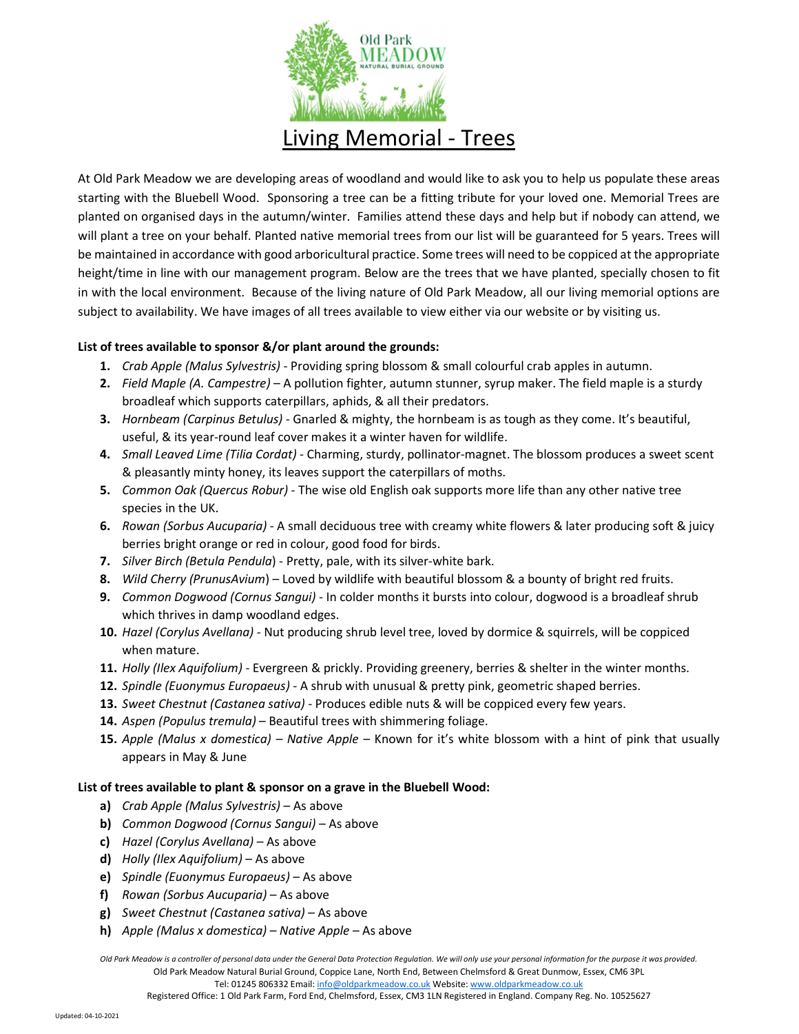

At Old Park Meadow we are developing areas of woodland and would like to ask you to help us populate these areas starting with the Bluebell Wood. Sponsoring a tree can be a fitting tribute for your loved one. Memorial Trees are planted on organised days in the autumn/winter. Families attend these days and help but if nobody can attend, we will plant a tree on your behalf. Planted native memorial trees from our list will be guaranteed for 5 years. Trees will be maintained in accordance with good arboricultural practice. Some trees will need to be coppiced at the appropriate height/time in line with our management program. Below are the trees that we have planted, specially chosen to fit in with the local environment. Because of the living nature of Old Park Meadow, all our living memorial options are subject to availability. We have images of all trees available to view either via our website or by visiting us.

## List of trees available to sponsor &/or plant around the grounds:

- 1. Crab Apple (Malus Sylvestris) Providing spring blossom & small colourful crab apples in autumn.
- 2. Field Maple (A. Campestre) A pollution fighter, autumn stunner, syrup maker. The field maple is a sturdy broadleaf which supports caterpillars, aphids, & all their predators.
- 3. Hornbeam (Carpinus Betulus) Gnarled & mighty, the hornbeam is as tough as they come. It's beautiful, useful, & its year-round leaf cover makes it a winter haven for wildlife.
- 4. Small Leaved Lime (Tilia Cordat) Charming, sturdy, pollinator-magnet. The blossom produces a sweet scent & pleasantly minty honey, its leaves support the caterpillars of moths.
- 5. Common Oak (Quercus Robur) The wise old English oak supports more life than any other native tree species in the UK.
- 6. Rowan (Sorbus Aucuparia) A small deciduous tree with creamy white flowers & later producing soft & juicy berries bright orange or red in colour, good food for birds.
- 7. Silver Birch (Betula Pendula) Pretty, pale, with its silver-white bark.
- 8. Wild Cherry (PrunusAvium) Loved by wildlife with beautiful blossom & a bounty of bright red fruits.
- 9. Common Dogwood (Cornus Sangui) In colder months it bursts into colour, dogwood is a broadleaf shrub which thrives in damp woodland edges.
- 10. Hazel (Corylus Avellana) Nut producing shrub level tree, loved by dormice & squirrels, will be coppiced when mature.
- 11. Holly (Ilex Aquifolium) Evergreen & prickly. Providing greenery, berries & shelter in the winter months.
- 12. Spindle (Euonymus Europaeus) A shrub with unusual & pretty pink, geometric shaped berries.
- 13. Sweet Chestnut (Castanea sativa) Produces edible nuts & will be coppiced every few years.
- 14. Aspen (Populus tremula) Beautiful trees with shimmering foliage.
- 15. Apple (Malus x domestica) Native Apple Known for it's white blossom with a hint of pink that usually appears in May & June

## List of trees available to plant & sponsor on a grave in the Bluebell Wood:

- a) Crab Apple (Malus Sylvestris) As above
- b) Common Dogwood (Cornus Sangui) As above
- c) Hazel (Corylus Avellana) As above
- d) Holly (Ilex Aquifolium) As above
- e) Spindle (Euonymus Europaeus) As above
- f) Rowan (Sorbus Aucuparia) As above
- g) Sweet Chestnut (Castanea sativa) As above
- h) Apple (Malus x domestica) Native Apple As above